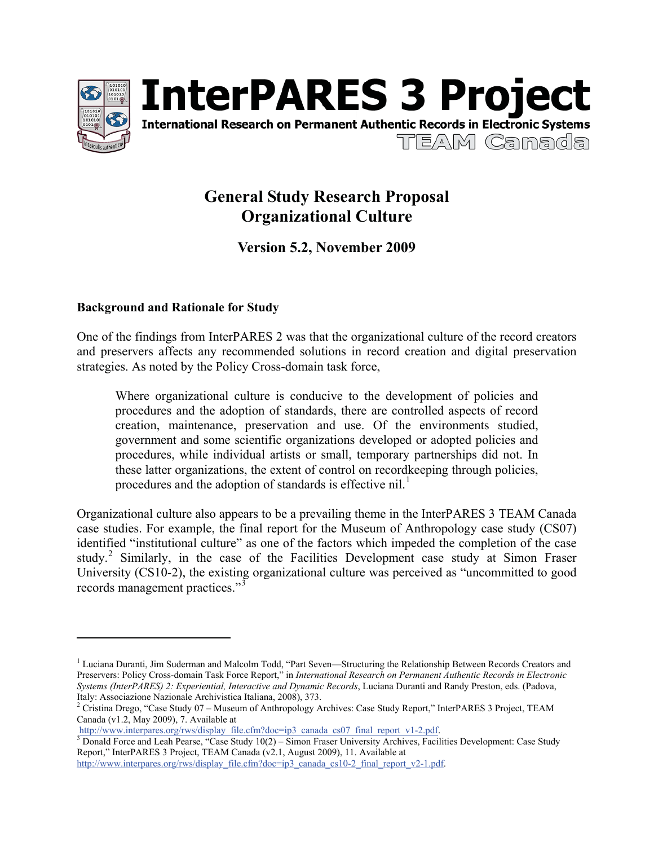



# **General Study Research Proposal Organizational Culture**

**Version 5.2, November 2009**

#### **Background and Rationale for Study**

 $\overline{a}$ 

One of the findings from InterPARES 2 was that the organizational culture of the record creators and preservers affects any recommended solutions in record creation and digital preservation strategies. As noted by the Policy Cross-domain task force,

Where organizational culture is conducive to the development of policies and procedures and the adoption of standards, there are controlled aspects of record creation, maintenance, preservation and use. Of the environments studied, government and some scientific organizations developed or adopted policies and procedures, while individual artists or small, temporary partnerships did not. In these latter organizations, the extent of control on recordkeeping through policies, procedures and the adoption of standards is effective nil.<sup>1</sup>

Organizational culture also appears to be a prevailing theme in the InterPARES 3 TEAM Canada case studies. For example, the final report for the Museum of Anthropology case study (CS07) identified "institutional culture" as one of the factors which impeded the completion of the case study.<sup>2</sup> Similarly, in the case of the Facilities Development case study at Simon Fraser University (CS10-2), the existing organizational culture was perceived as "uncommitted to good records management practices."<sup>3</sup>

<sup>&</sup>lt;sup>1</sup> Luciana Duranti, Jim Suderman and Malcolm Todd, "Part Seven—Structuring the Relationship Between Records Creators and Preservers: Policy Cross-domain Task Force Report," in *International Research on Permanent Authentic Records in Electronic Systems (InterPARES) 2: Experiential, Interactive and Dynamic Records*, Luciana Duranti and Randy Preston, eds. (Padova, Italy: Associazione Nazionale Archivistica Italiana, 2008), 373.<br><sup>2</sup> Cristina Drego, "Case Study 07 – Museum of Anthropology Archives: Case Study Report," InterPARES 3 Project, TEAM

Canada (v1.2, May 2009), 7. Available at<br>http://www.interpares.org/rws/display file.cfm?doc=ip3 canada cs07 final report v1-2.pdf.

 $\frac{1}{\text{3} \text{Donald Force and Leah Pearse}, \text{``Case Study 10(2)} - \text{Simon Fraser University Archives}, \text{Facilities Development: Case Study 10(3)}$ Report," InterPARES 3 Project, TEAM Canada (v2.1, August 2009), 11. Available at http://www.interpares.org/rws/display\_file.cfm?doc=ip3\_canada\_cs10-2\_final\_report\_v2-1.pdf.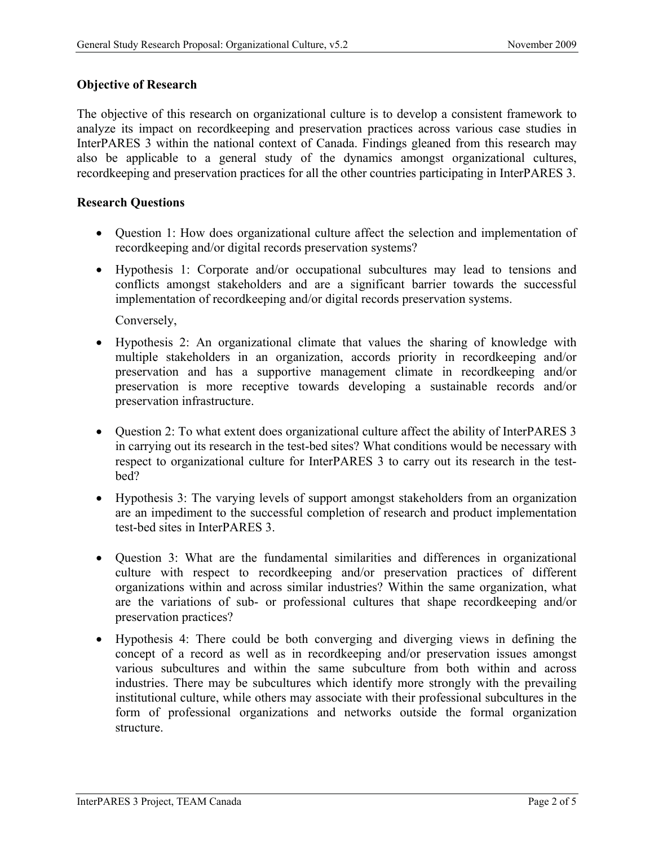#### **Objective of Research**

The objective of this research on organizational culture is to develop a consistent framework to analyze its impact on recordkeeping and preservation practices across various case studies in InterPARES 3 within the national context of Canada. Findings gleaned from this research may also be applicable to a general study of the dynamics amongst organizational cultures, recordkeeping and preservation practices for all the other countries participating in InterPARES 3.

#### **Research Questions**

- Question 1: How does organizational culture affect the selection and implementation of recordkeeping and/or digital records preservation systems?
- Hypothesis 1: Corporate and/or occupational subcultures may lead to tensions and conflicts amongst stakeholders and are a significant barrier towards the successful implementation of recordkeeping and/or digital records preservation systems.

Conversely,

- Hypothesis 2: An organizational climate that values the sharing of knowledge with multiple stakeholders in an organization, accords priority in recordkeeping and/or preservation and has a supportive management climate in recordkeeping and/or preservation is more receptive towards developing a sustainable records and/or preservation infrastructure.
- Question 2: To what extent does organizational culture affect the ability of InterPARES 3 in carrying out its research in the test-bed sites? What conditions would be necessary with respect to organizational culture for InterPARES 3 to carry out its research in the testbed?
- Hypothesis 3: The varying levels of support amongst stakeholders from an organization are an impediment to the successful completion of research and product implementation test-bed sites in InterPARES 3.
- Question 3: What are the fundamental similarities and differences in organizational culture with respect to recordkeeping and/or preservation practices of different organizations within and across similar industries? Within the same organization, what are the variations of sub- or professional cultures that shape recordkeeping and/or preservation practices?
- Hypothesis 4: There could be both converging and diverging views in defining the concept of a record as well as in recordkeeping and/or preservation issues amongst various subcultures and within the same subculture from both within and across industries. There may be subcultures which identify more strongly with the prevailing institutional culture, while others may associate with their professional subcultures in the form of professional organizations and networks outside the formal organization structure.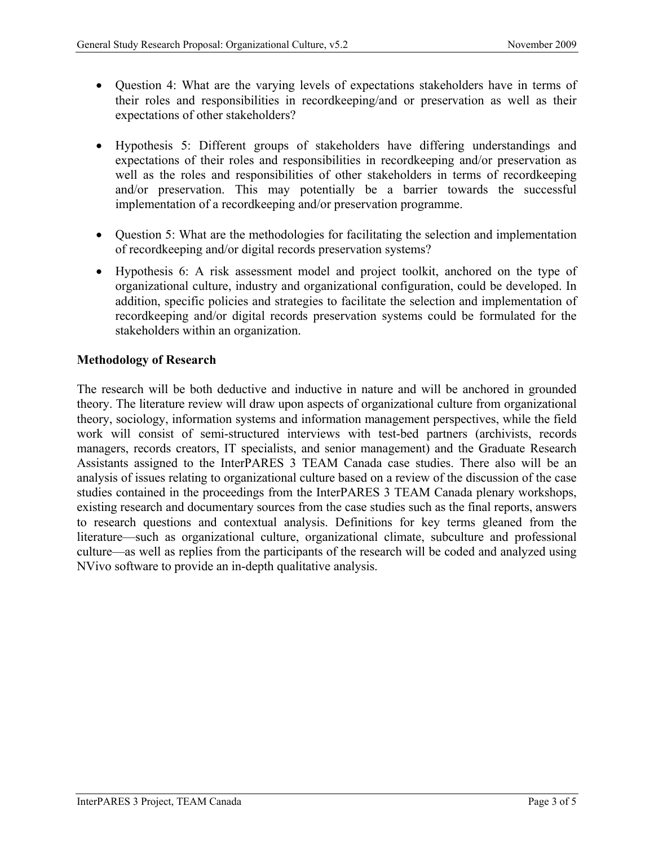- Question 4: What are the varying levels of expectations stakeholders have in terms of their roles and responsibilities in recordkeeping/and or preservation as well as their expectations of other stakeholders?
- Hypothesis 5: Different groups of stakeholders have differing understandings and expectations of their roles and responsibilities in recordkeeping and/or preservation as well as the roles and responsibilities of other stakeholders in terms of recordkeeping and/or preservation. This may potentially be a barrier towards the successful implementation of a recordkeeping and/or preservation programme.
- Question 5: What are the methodologies for facilitating the selection and implementation of recordkeeping and/or digital records preservation systems?
- Hypothesis 6: A risk assessment model and project toolkit, anchored on the type of organizational culture, industry and organizational configuration, could be developed. In addition, specific policies and strategies to facilitate the selection and implementation of recordkeeping and/or digital records preservation systems could be formulated for the stakeholders within an organization.

# **Methodology of Research**

The research will be both deductive and inductive in nature and will be anchored in grounded theory. The literature review will draw upon aspects of organizational culture from organizational theory, sociology, information systems and information management perspectives, while the field work will consist of semi-structured interviews with test-bed partners (archivists, records managers, records creators, IT specialists, and senior management) and the Graduate Research Assistants assigned to the InterPARES 3 TEAM Canada case studies. There also will be an analysis of issues relating to organizational culture based on a review of the discussion of the case studies contained in the proceedings from the InterPARES 3 TEAM Canada plenary workshops, existing research and documentary sources from the case studies such as the final reports, answers to research questions and contextual analysis. Definitions for key terms gleaned from the literature—such as organizational culture, organizational climate, subculture and professional culture—as well as replies from the participants of the research will be coded and analyzed using NVivo software to provide an in-depth qualitative analysis.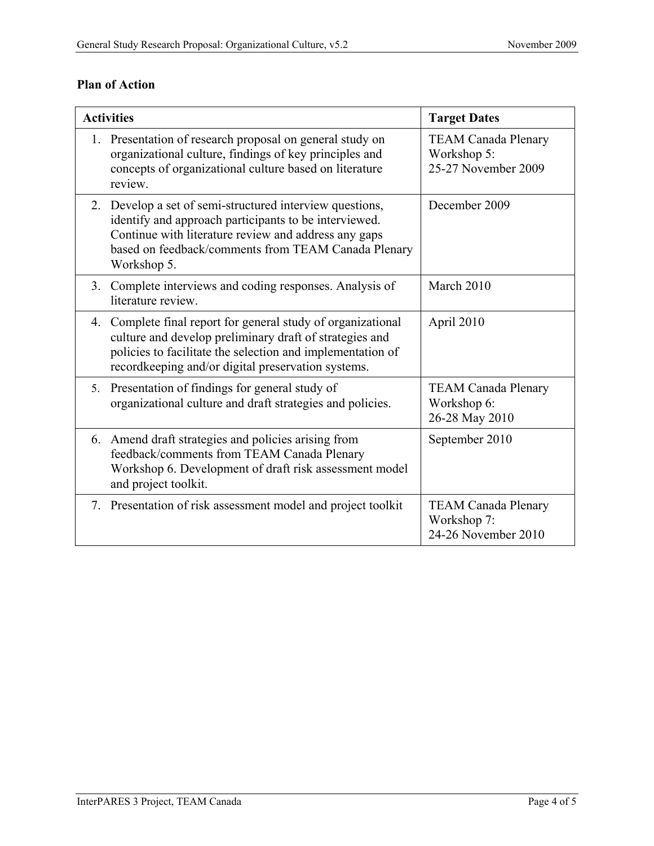# **Plan of Action**

| <b>Activities</b> |                                                                                                                                                                                                                                                 | <b>Target Dates</b>                                              |
|-------------------|-------------------------------------------------------------------------------------------------------------------------------------------------------------------------------------------------------------------------------------------------|------------------------------------------------------------------|
|                   | 1. Presentation of research proposal on general study on<br>organizational culture, findings of key principles and<br>concepts of organizational culture based on literature<br>review.                                                         | <b>TEAM Canada Plenary</b><br>Workshop 5:<br>25-27 November 2009 |
|                   | 2. Develop a set of semi-structured interview questions,<br>identify and approach participants to be interviewed.<br>Continue with literature review and address any gaps<br>based on feedback/comments from TEAM Canada Plenary<br>Workshop 5. | December 2009                                                    |
|                   | 3. Complete interviews and coding responses. Analysis of<br>literature review.                                                                                                                                                                  | March 2010                                                       |
| 4.                | Complete final report for general study of organizational<br>culture and develop preliminary draft of strategies and<br>policies to facilitate the selection and implementation of<br>recordkeeping and/or digital preservation systems.        | April 2010                                                       |
|                   | 5. Presentation of findings for general study of<br>organizational culture and draft strategies and policies.                                                                                                                                   | <b>TEAM Canada Plenary</b><br>Workshop 6:<br>26-28 May 2010      |
|                   | 6. Amend draft strategies and policies arising from<br>feedback/comments from TEAM Canada Plenary<br>Workshop 6. Development of draft risk assessment model<br>and project toolkit.                                                             | September 2010                                                   |
|                   | 7. Presentation of risk assessment model and project toolkit                                                                                                                                                                                    | <b>TEAM Canada Plenary</b><br>Workshop 7:<br>24-26 November 2010 |